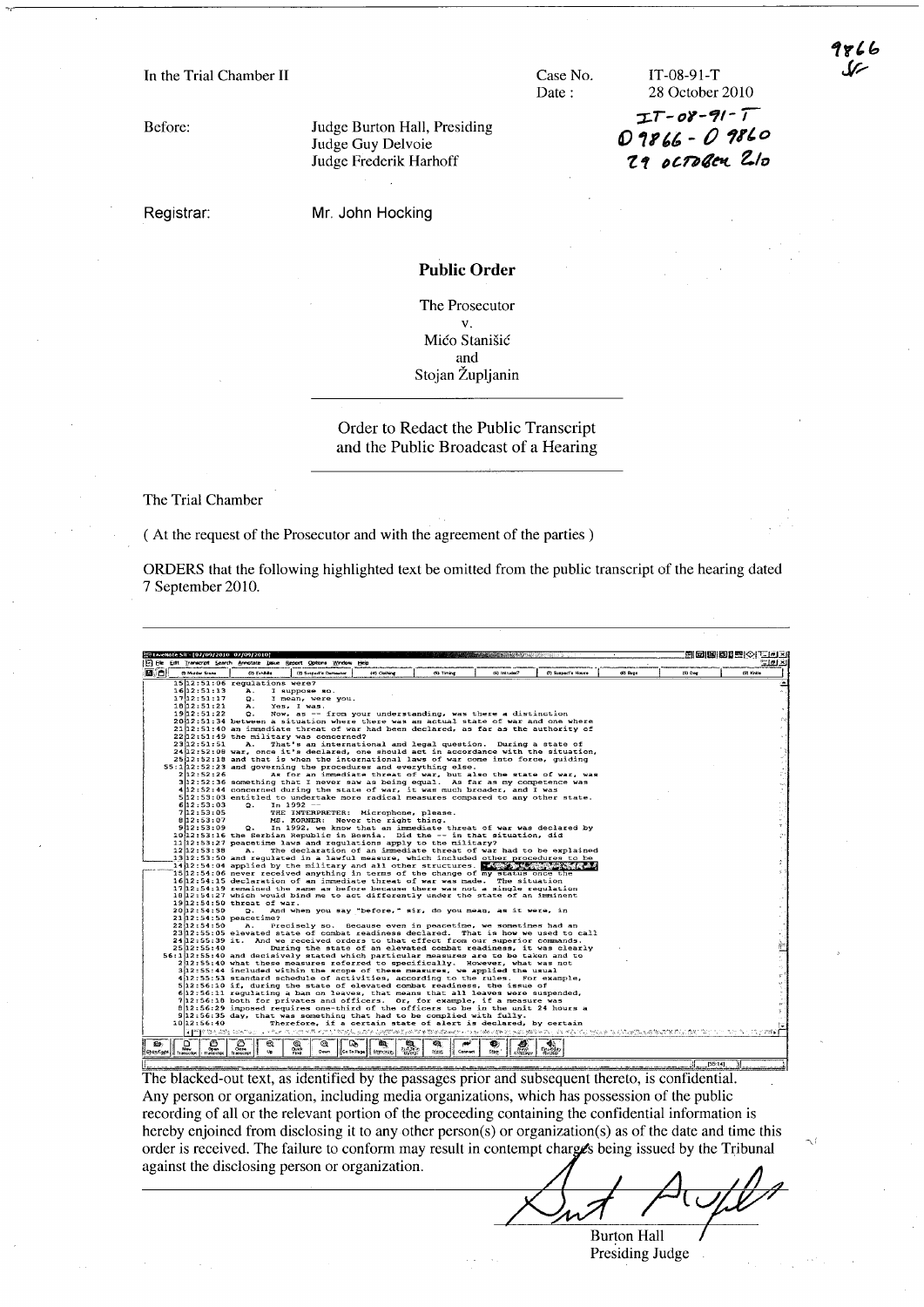Before:

Judge Burton Hall, Presiding Judge Guy Delvoie Judge Frederik Harhoff

Registrar:

Mr. John Hocking

#### Public Order

Case No. Date:

The Prosecutor v. Mićo Stanišić and Stojan Zupljanin

# Order to Redact the Public Transcript and the Public Broadcast of a Hearing

The Trial Chamber

( At the request of the Prosecutor and with the agreement of the parties)

ORDERS that the following highlighted text be omitted from the public transcript of the hearing dated 7 September 2010.



The blacked-out text, as identified by the passages prior and subsequent thereto, is confidential. Any person or organization, including media organizations, which has possession of the public recording of all or the relevant portion of the proceeding containing the confidential information is hereby enjoined from disclosing it to any other person(s) or organization(s) as of the date and time this order is received. The failure to conform may result in contempt charges being issued by the Tribunal against the disclosing person or organization.

**Burton Hall** Presiding Judge

28 October 2010 *-;I..T- 0-,--11-'*  0 9866 - 0 9860 *1.1* /)c.nq~ *elo* 

IT-08-91-T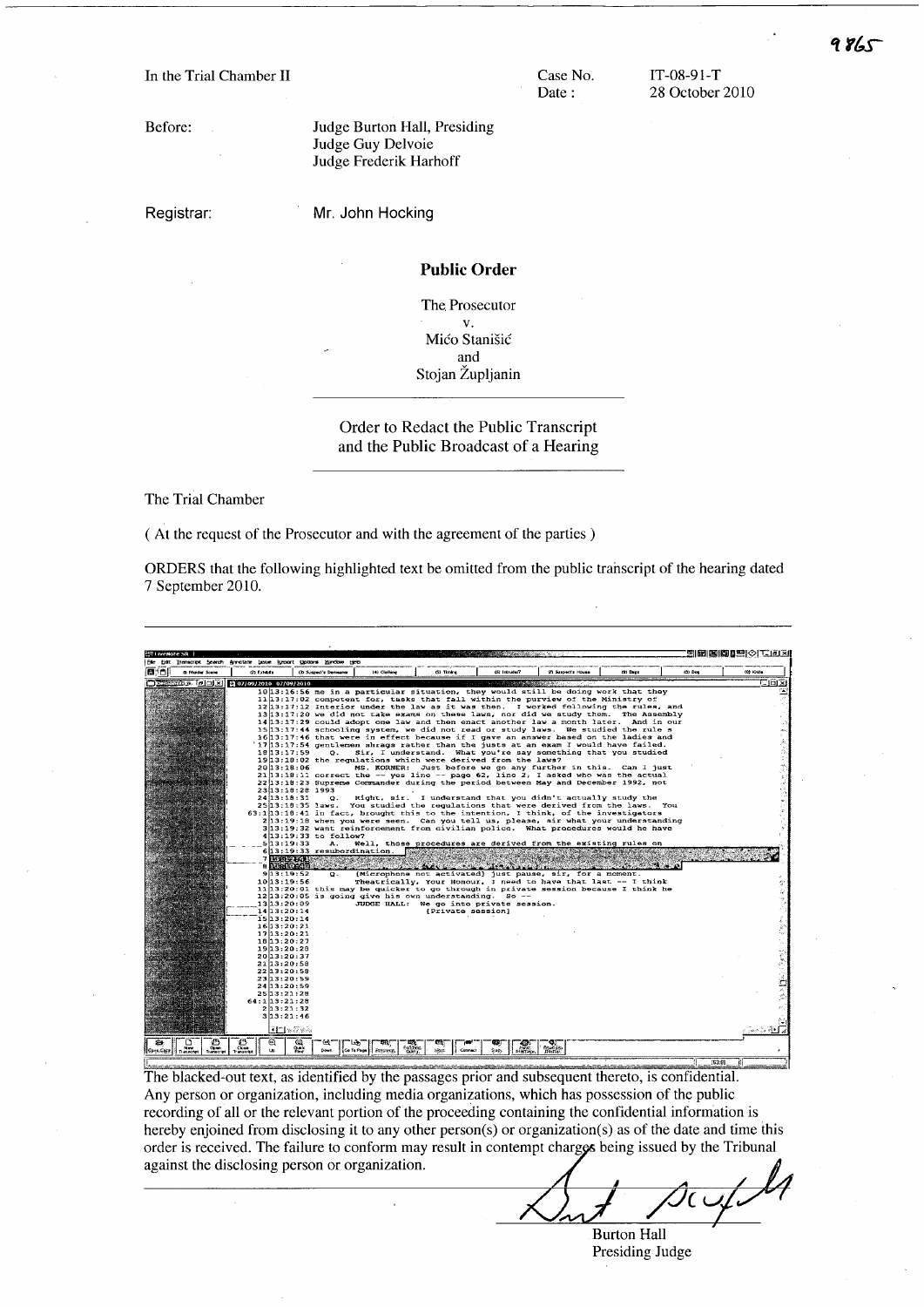In the Trial Chamber II Case No.

Before:

Registrar:

Mr. John Hocking

Judge Guy Delvoie Judge Frederik Harhoff

Judge Burton Hall, Presiding

Public Order

Date:

IT-08-91-T 28 October 2010

The. Prosecutor v. Mićo Stanišić and Stojan Župljanin

Order to Redact the Public Transcript and the Public Broadcast of a Hearing

The Trial Chamber

( At the request of the Prosecutor and with the agreement of the parties)

ORDERS that the following highlighted text be omitted from the public transcript of the hearing dated 7 September 2010.

**BEBBBB**OITER  $200x$ still be doing work that they<br>be purview of the Ministry of<br>I worked following the rules,<br>did we study them. The Assem fall. with the purview of the Ministry of<br>17:12 Interior under the law as it was then. I worked following the rules, and<br>17:12 Interior under the law as it was then. I worked following the rules, and 17:20 we did not take exams on these laws, nor did we study them. The Assembly 17:29 could adopt one law and then enact another law a month later. And in our 17:44 schooling system, we did not read or study laws. We studi 18|13:17:39<br>20|13:18:06<br>21|13:18:11<br>22|13:18:23  $54.1993$ <br> $9.9$ 1916.1999 (Right, sir. I understand that you didn't actually study the<br>1918.1918 Care You studied the regulations that were derived from the laws. You<br>1918.41 in fact, brought this to the intention, I think, of the investi procedures are<br>*maculments*  $fron$ Microphone not activated just heaven's influence of the part of the particular point of the part of the part of the particular part of the part of the part of the part of the part of the part of the part of the part of the sir, f<br>sir, f<br>ave tha<br>assion 75  $M2c$ ست.<br>foi r a moment.<br>last -- I think<br>ecause I think he 13:19:52<br>13:19:56<br>13:20:01 going give his of<br>JUDGE HALL: n understanding.<br>We go into private<br>[Private session] session  $\begin{tabular}{|c|c|c|c|} \hline $\mathcal{D}$ & $\mathcal{D}$ & $\mathcal{D}$ & $\mathcal{Q}$ \\ \hline \hline $n$ & $n$ & $n$ & $n$ & $n$ \\ \hline $n$ & $n$ & $n$ & $n$ & $n$ \\ \hline \end{tabular}$  $\prod_{n\in\mathbb{Z}}$  $\frac{\partial}{\partial x^k}$ **COLLECTION CONTROL**  $\begin{array}{c|c|c|c|c} \hline \mathbf{CQ} & \mathbf{FQ} & \mathbf{FQ} & \mathbf{FQ} & \mathbf{FQ} & \mathbf{FQ} & \mathbf{FQ} & \mathbf{FQ} & \mathbf{FQ} & \mathbf{FQ} & \mathbf{FQ} & \mathbf{FQ} & \mathbf{FQ} & \mathbf{FQ} & \mathbf{FQ} & \mathbf{FQ} & \mathbf{FQ} & \mathbf{FQ} & \mathbf{FQ} & \mathbf{FQ} & \mathbf{FQ} & \mathbf{FQ} & \mathbf{FQ} & \mathbf{FQ} & \mathbf{FQ} & \math$  $\frac{1}{2}$ 

The blacked-out text, as identified by the passages prior and subsequent thereto, is confidential. Any person or organization, including media organizations, which has possession of the public recording of all or the relevant portion of the proceeding containing the confidential information is hereby enjoined from disclosing it to any other person(s) or organization(s) as of the date and time this order is received. The failure to conform may result in contempt charges being issued by the Tribunal against the disclosing person or organization.

Burton Hall Presiding Judge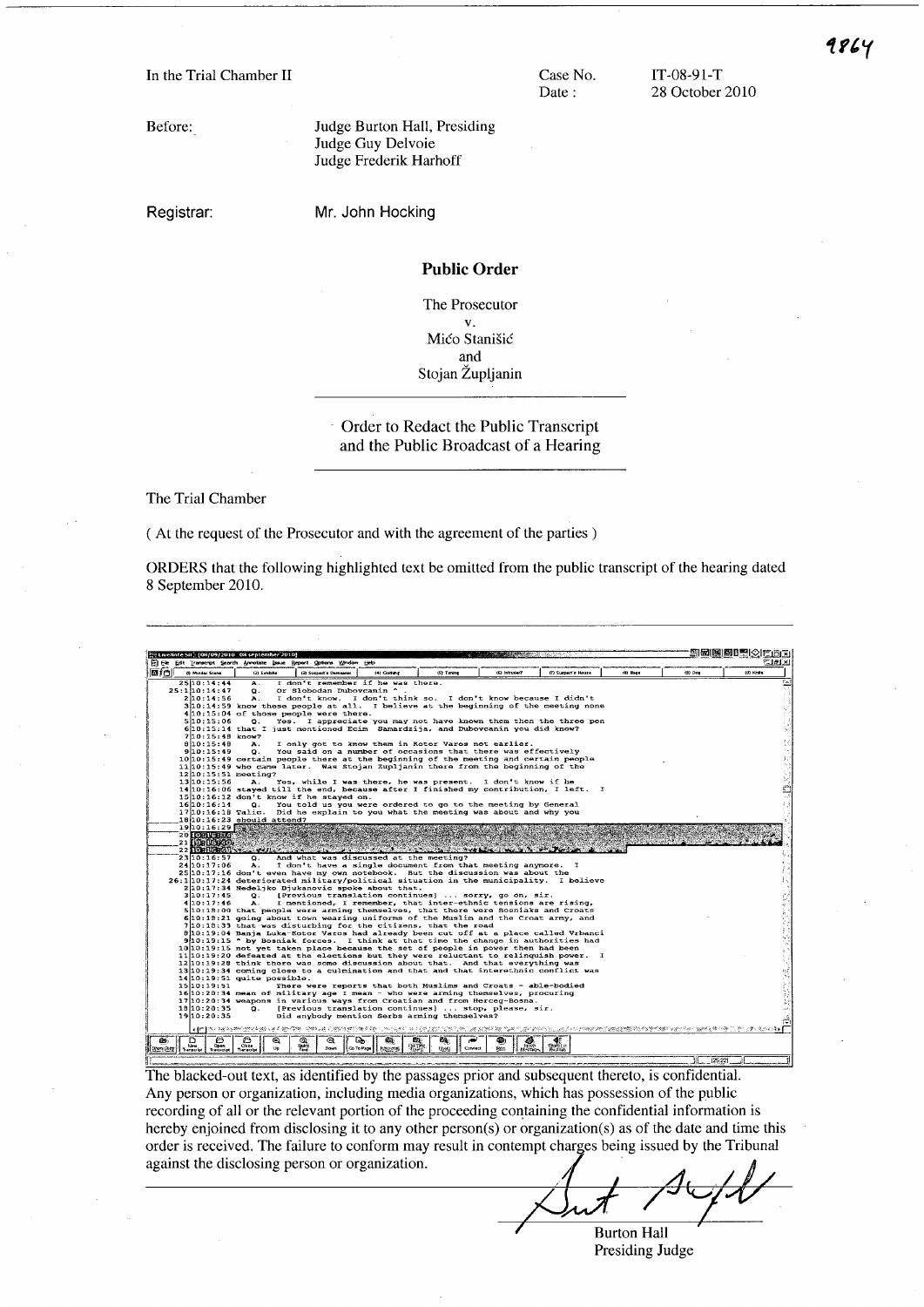Case No. Date:

IT-08-91-T 28 October 2010

Before:

Registrar:

Mr. John Hocking

Judge Guy Delvoie Judge Frederik Harhoff

Judge Burton Hall, Presiding

# Public Order

The Prosecutor v. Mićo Stanišić and Stojan Zupljanin

Order to Redact the Public Transcript and the Public Broadcast of a Hearing

The Trial Chamber

( At the request of the Prosecutor and with the agreement of the parties)

ORDERS that the following highlighted text be omitted from the public transcript of the hearing dated 8 September 2010.



The blacked-out text, as identified by the passages prior and subsequent thereto, is confidential. Any person or organization, including media organizations, which has possession of the public recording of all or the relevant portion of the proceeding containing the confidential information is hereby enjoined from disclosing it to any other person(s) or organization(s) as of the date and time this order is received. The failure to conform may result in contempt charges being issued by the Tribunal against the disclosing person or organization.

**Burton Hall** Presiding Judge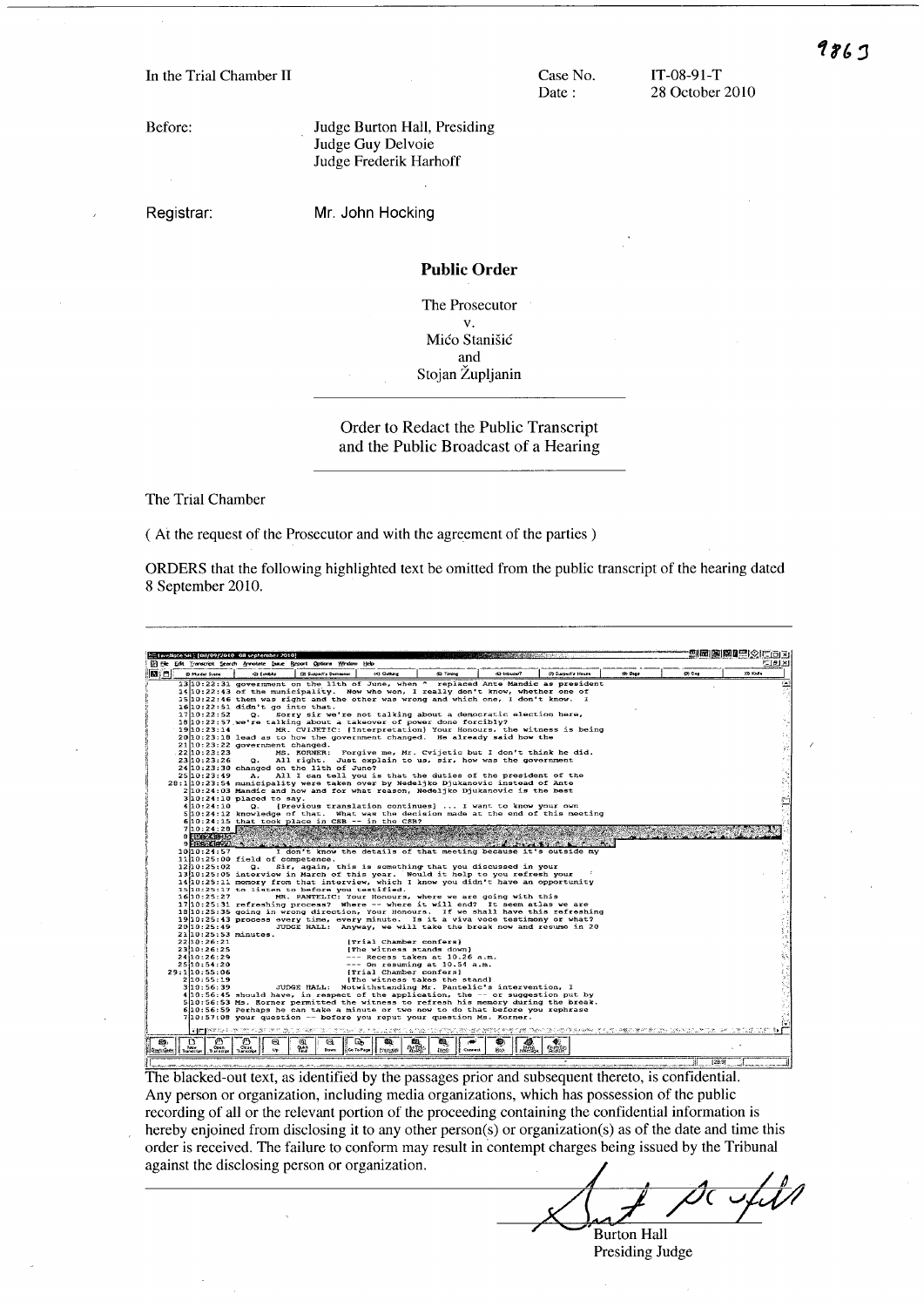Before:

Registrar:

Mr. John Hocking

Judge Guy Delvoie Judge Frederik Harhoff

Judge Burton Hall, Presiding

### Public Order

Case No. Date:

The Prosecutor v. Mico Stanisic and Stojan Zupljanin

## Order to Redact the Public Transcript and the Public Broadcast of a Hearing

The Trial Chamber

( At the request of the Prosecutor and with the agreement of the parties)

ORDERS that the following highlighted text be omitted from the public transcript of the hearing dated 8 September 2010.



The blacked-out text, as identified by the passages prior and subsequent thereto, is confidential. Any person or organization, including media organizations, which has possession of the public recording of all or the relevant portion of the proceeding containing the confidential information is hereby enjoined from disclosing it to any other person(s) or organization(s) as of the date and time this order is received. The failure to conform may result in contempt charges being issued by the Tribunal against the disclosing person or organization.

986 J

**Burton Hall** Presiding Judge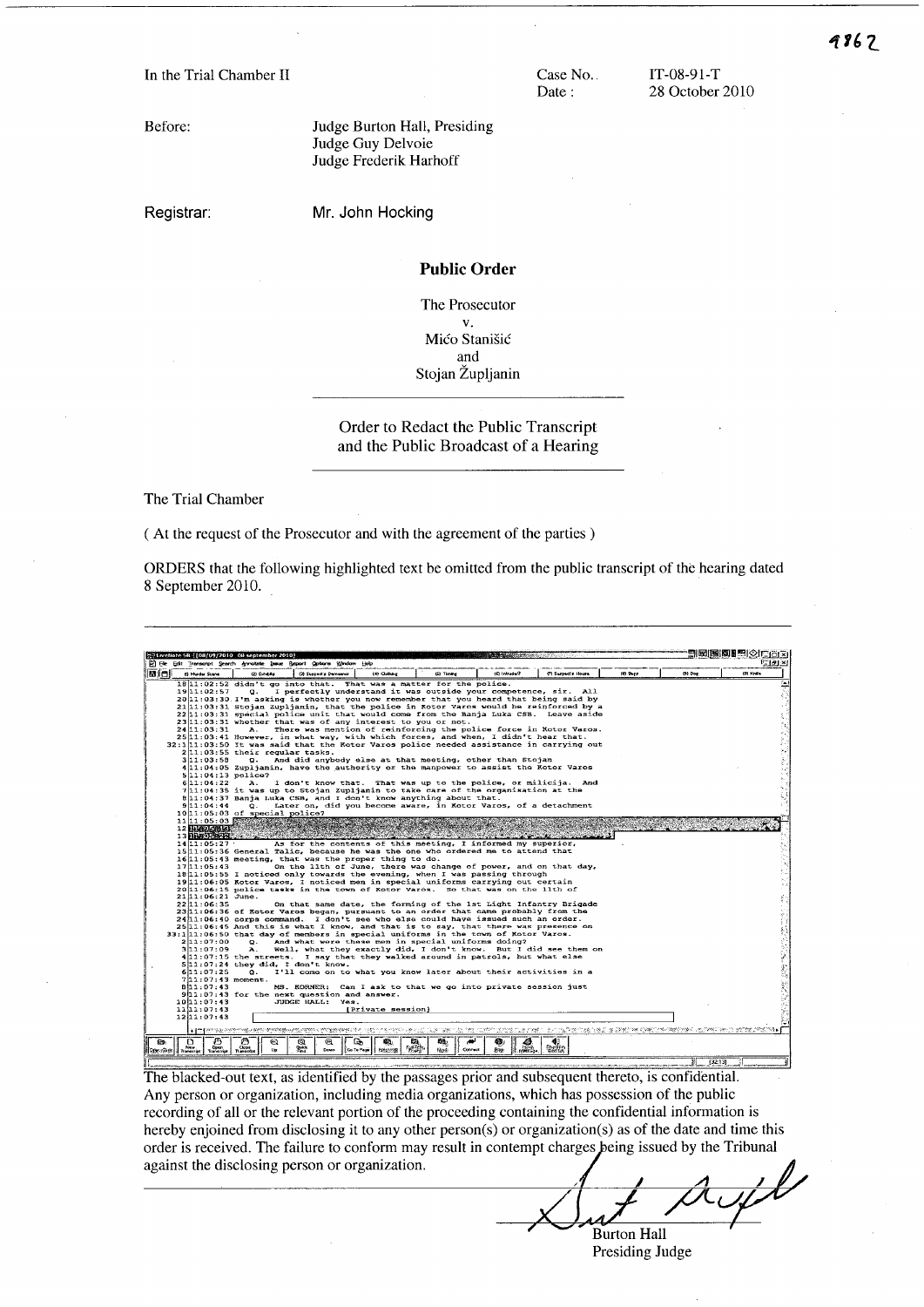Case No. Date:

IT-08-91-T 28 October 2010

Before:

Judge Burton Hall, Presiding Judge Guy Delvoie Judge Frederik Harhoff

Registrar:

Mr. John Hocking

# Public Order

The Prosecutor v. Mico Stanisic and Stojan Zupljanin

# Order to Redact the Public Transcript and the Public Broadcast of a Hearing

The Trial Chamber

( At the request of the Prosecutor and with the agreement of the parties)

ORDERS that the following highlighted text be omitted from the public transcript of the hearing dated 8 September 2010.



The blacked-out text, as identified by the passages prior and subsequent thereto, is confidential. Any person or organization, including media organizations, which has possession of the public recording of all or the relevant portion of the proceeding containing the confidential information is hereby enjoined from disclosing it to any other person(s) or organization(s) as of the date and time this order is received. The failure to conform may result in contempt charges eing issued by the Tribunal against the disclosing person or organization.

**Burton Hall** Presiding Judge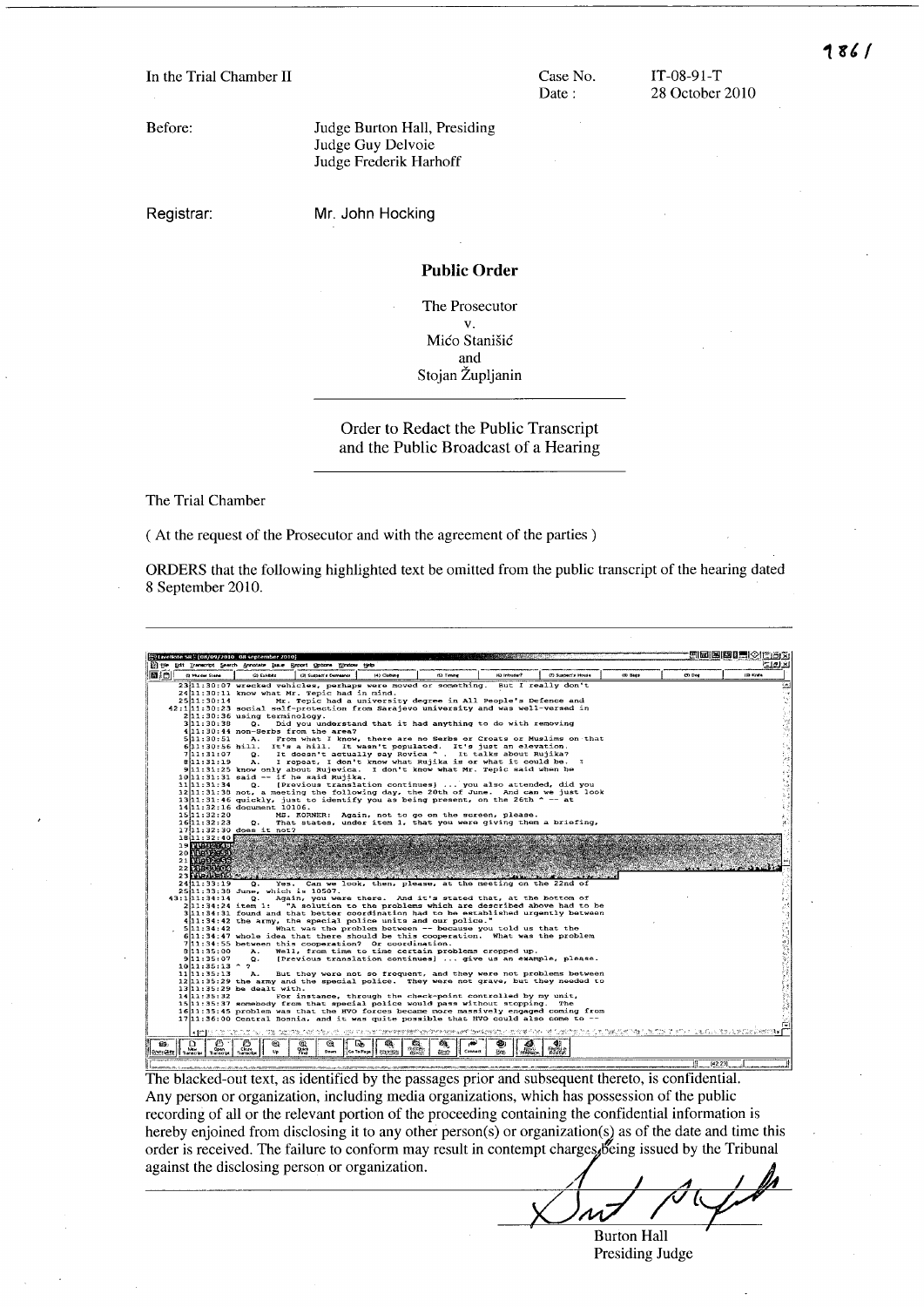Case No. Date:

IT-08-91-T 28 October 2010

Before:

Judge Burton Hall, Presiding Judge Guy Delvoie Judge Frederik Harhoff

Registrar:

Mr. John Hocking

## Public Order

The Prosecutor v. Mico Stanisic and Stojan Zupljanin

Order to Redact the Public Transcript and the Public Broadcast of a Hearing

The Trial Chamber

( At the request of the Prosecutor and with the agreement of the parties)

ORDERS that the following highlighted text be omitted from the public transcript of the hearing dated 8 September 20lO.



The blacked-out text, as identified by the passages prior and subsequent thereto, is confidential. Any person or organization, including media organizations, which has possession of the public recording of all or the relevant portion of the proceeding containing the confidential information is hereby enjoined from disclosing it to any other person(s) or organization(s) as of the date and time this order is received. The failure to conform may result in contempt charges Being issued by the Tribunal against the disclosing person or organization.

*/ A* I